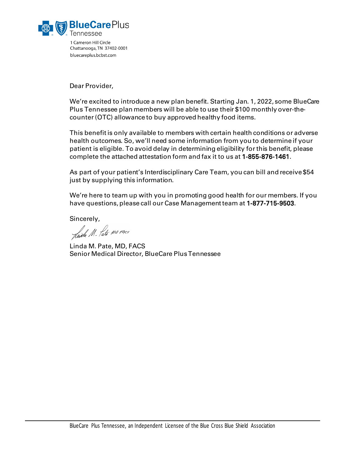

1 Cameron Hill Circle Chattanooga, TN 37402-0001 bluecareplus.bcbst.com

Dear Provider,

We're excited to introduce a new plan benefit. Starting Jan. 1, 2022, some BlueCare Plus Tennessee plan members will be able to use their \$100 monthly over-thecounter(OTC) allowance to buy approved healthy food items.

This benefit is only available to members with certain health conditions or adverse health outcomes. So, we'll need some information from you to determine if your patient is eligible. To avoid delay in determining eligibility for this benefit, please complete the attached attestation form and fax it to us at 1-855-876-1461.

As part of your patient's Interdisciplinary Care Team, you can bill and receive \$54 just by supplying this information.

We're here to team up with you in promoting good health for our members. If you have questions, please call our Case Management team at 1-877-715-9503.

Sincerely,<br>Juide M. fate MO PACS

Linda M. Pate, MD, FACS Senior Medical Director, BlueCare PlusTennessee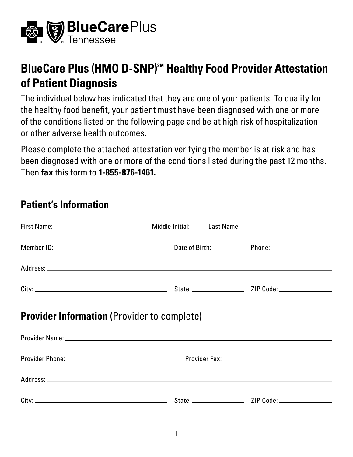

## **BlueCare Plus (HMO D-SNP)<sup>SM</sup> Healthy Food Provider Attestation of Patient Diagnosis**

 The individual below has indicated that they are one of your patients. To qualify for the healthy food benefit, your patient must have been diagnosed with one or more of the conditions listed on the following page and be at high risk of hospitalization or other adverse health outcomes.

 Please complete the attached attestation verifying the member is at risk and has been diagnosed with one or more of the conditions listed during the past 12 months. Then **fax** this form to **1-855-876-1461.** 

## **Patient's Information**

| <b>Provider Information</b> (Provider to complete) |  |
|----------------------------------------------------|--|
|                                                    |  |
|                                                    |  |
|                                                    |  |
|                                                    |  |